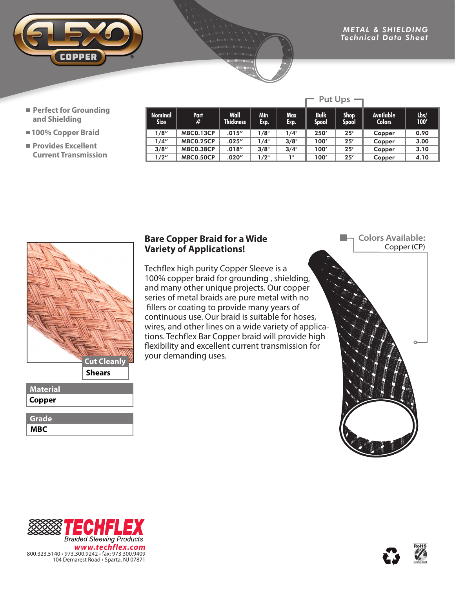

- **Perfect for Grounding and Shielding**
- **100% Copper Braid**
- **Provides Excellent Current Transmission**

| <b>Nominal</b><br><b>Size</b> | Part<br>#        | <b>Wall</b><br><b>Thickness</b> | Min<br>Exp. | <b>Max</b><br>Exp. | <b>Bulk</b><br>Spool | <b>Shop</b><br><b>Spool</b> | <b>Available</b><br><b>Colors</b> | $l$ bs/<br>100' |
|-------------------------------|------------------|---------------------------------|-------------|--------------------|----------------------|-----------------------------|-----------------------------------|-----------------|
| 1/8''                         | <b>MBC0.13CP</b> | .015''                          | 1/8"        | 1/4"               | 250'                 | 25'                         | Copper                            | 0.90            |
| 1/4"                          | <b>MBC0.25CP</b> | .025''                          | 1/4"        | 3/8"               | 100'                 | 25'                         | Copper                            | 3.00            |
| 3/8''                         | <b>MBC0.38CP</b> | .018''                          | 3/8"        | 3/4"               | 100'                 | 25'                         | Copper                            | 3.10            |
| 1/2"                          | <b>MBC0.50CP</b> | .020″                           | 1/2"        | 1                  | 100'                 | 25'                         | Copper                            | 4.10            |

 $\Gamma$  Put Ups  $\Gamma$ 



## **Material Copper**

| н<br>7<br>v |
|-------------|

## **Bare Copper Braid for a Wide Variety of Applications!**

Techflex high purity Copper Sleeve is a 100% copper braid for grounding , shielding, and many other unique projects. Our copper series of metal braids are pure metal with no fillers or coating to provide many years of continuous use. Our braid is suitable for hoses, wires, and other lines on a wide variety of applications. Techflex Bar Copper braid will provide high flexibility and excellent current transmission for your demanding uses.

**Colors Available:** Copper (CP)